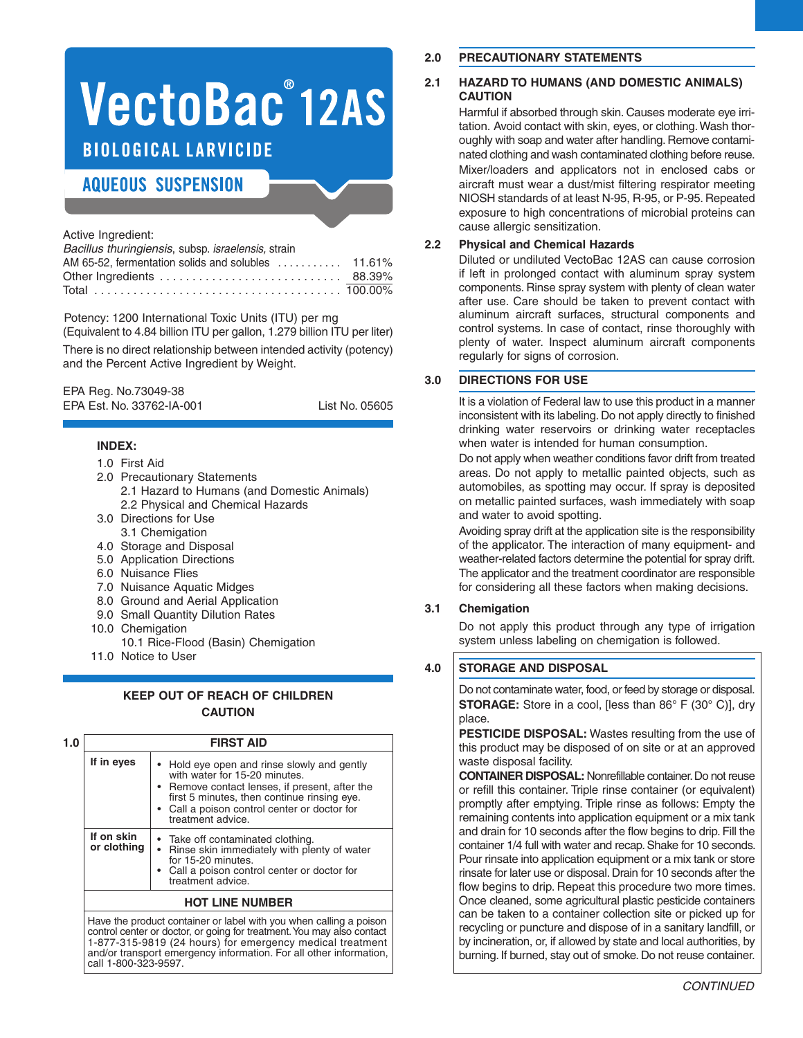# VectoBac°12AS **BIOLOGICAL LARVICIDE**

## **AQUEOUS SUSPENSION**

Active Ingredient:

| Bacillus thuringiensis, subsp. israelensis, strain |  |
|----------------------------------------------------|--|
|                                                    |  |
|                                                    |  |
|                                                    |  |

Potency: 1200 International Toxic Units (ITU) per mg (Equivalent to 4.84 billion ITU per gallon, 1.279 billion ITU per liter) There is no direct relationship between intended activity (potency) and the Percent Active Ingredient by Weight.

EPA Reg. No.73049-38 EPA Est. No. 33762-IA-001 List No. 05605

## **INDEX:**

- 1.0 First Aid
- 2.0 Precautionary Statements 2.1 Hazard to Humans (and Domestic Animals) 2.2 Physical and Chemical Hazards
- 3.0 Directions for Use 3.1 Chemigation
- 4.0 Storage and Disposal
- 5.0 Application Directions
- 6.0 Nuisance Flies
- 7.0 Nuisance Aquatic Midges
- 8.0 Ground and Aerial Application
- 9.0 Small Quantity Dilution Rates
- 10.0 Chemigation
	- 10.1 Rice-Flood (Basin) Chemigation
- 11.0 Notice to User

## **KEEP OUT OF REACH OF CHILDREN CAUTION**

| 1.0 |                           | <b>FIRST AID</b>                                                                                                                                                                                                                                   |
|-----|---------------------------|----------------------------------------------------------------------------------------------------------------------------------------------------------------------------------------------------------------------------------------------------|
|     | If in eyes                | • Hold eye open and rinse slowly and gently<br>with water for 15-20 minutes.<br>• Remove contact lenses, if present, after the<br>first 5 minutes, then continue rinsing eye.<br>• Call a poison control center or doctor for<br>treatment advice. |
|     | If on skin<br>or clothing | • Take off contaminated clothing.<br>• Rinse skin immediately with plenty of water<br>for 15-20 minutes.<br>• Call a poison control center or doctor for<br>treatment advice.                                                                      |
|     |                           | <b>HOT LINE NUMBER</b>                                                                                                                                                                                                                             |

Have the product container or label with you when calling a poison control center or doctor, or going for treatment.You may also contact 1-877-315-9819 (24 hours) for emergency medical treatment and/or transport emergency information. For all other information, call 1-800-323-9597.

## **2.0 PRECAUTIONARY STATEMENTS**

## **2.1 HAZARD TO HUMANS (AND DOMESTIC ANIMALS) CAUTION**

Harmful if absorbed through skin. Causes moderate eye irritation. Avoid contact with skin, eyes, or clothing.Wash thoroughly with soap and water after handling. Remove contaminated clothing and wash contaminated clothing before reuse. Mixer/loaders and applicators not in enclosed cabs or aircraft must wear a dust/mist filtering respirator meeting NIOSH standards of at least N-95, R-95, or P-95. Repeated exposure to high concentrations of microbial proteins can cause allergic sensitization.

## **2.2 Physical and Chemical Hazards**

Diluted or undiluted VectoBac 12AS can cause corrosion if left in prolonged contact with aluminum spray system components. Rinse spray system with plenty of clean water after use. Care should be taken to prevent contact with aluminum aircraft surfaces, structural components and control systems. In case of contact, rinse thoroughly with plenty of water. Inspect aluminum aircraft components regularly for signs of corrosion.

## **3.0 DIRECTIONS FOR USE**

It is a violation of Federal law to use this product in a manner inconsistent with its labeling. Do not apply directly to finished drinking water reservoirs or drinking water receptacles when water is intended for human consumption.

Do not apply when weather conditions favor drift from treated areas. Do not apply to metallic painted objects, such as automobiles, as spotting may occur. If spray is deposited on metallic painted surfaces, wash immediately with soap and water to avoid spotting.

Avoiding spray drift at the application site is the responsibility of the applicator. The interaction of many equipment- and weather-related factors determine the potential for spray drift. The applicator and the treatment coordinator are responsible for considering all these factors when making decisions.

## **3.1 Chemigation**

Do not apply this product through any type of irrigation system unless labeling on chemigation is followed.

## **4.0 STORAGE AND DISPOSAL**

Do not contaminate water, food, or feed by storage or disposal. **STORAGE:** Store in a cool, [less than 86° F (30° C)], dry place.

**PESTICIDE DISPOSAL:** Wastes resulting from the use of this product may be disposed of on site or at an approved waste disposal facility.

**CONTAINER DISPOSAL:** Nonrefillable container. Do not reuse or refill this container. Triple rinse container (or equivalent) promptly after emptying. Triple rinse as follows: Empty the remaining contents into application equipment or a mix tank and drain for 10 seconds after the flow begins to drip. Fill the container 1/4 full with water and recap. Shake for 10 seconds. Pour rinsate into application equipment or a mix tank or store rinsate for later use or disposal. Drain for 10 seconds after the flow begins to drip. Repeat this procedure two more times. Once cleaned, some agricultural plastic pesticide containers can be taken to a container collection site or picked up for recycling or puncture and dispose of in a sanitary landfill, or by incineration, or, if allowed by state and local authorities, by burning. If burned, stay out of smoke. Do not reuse container.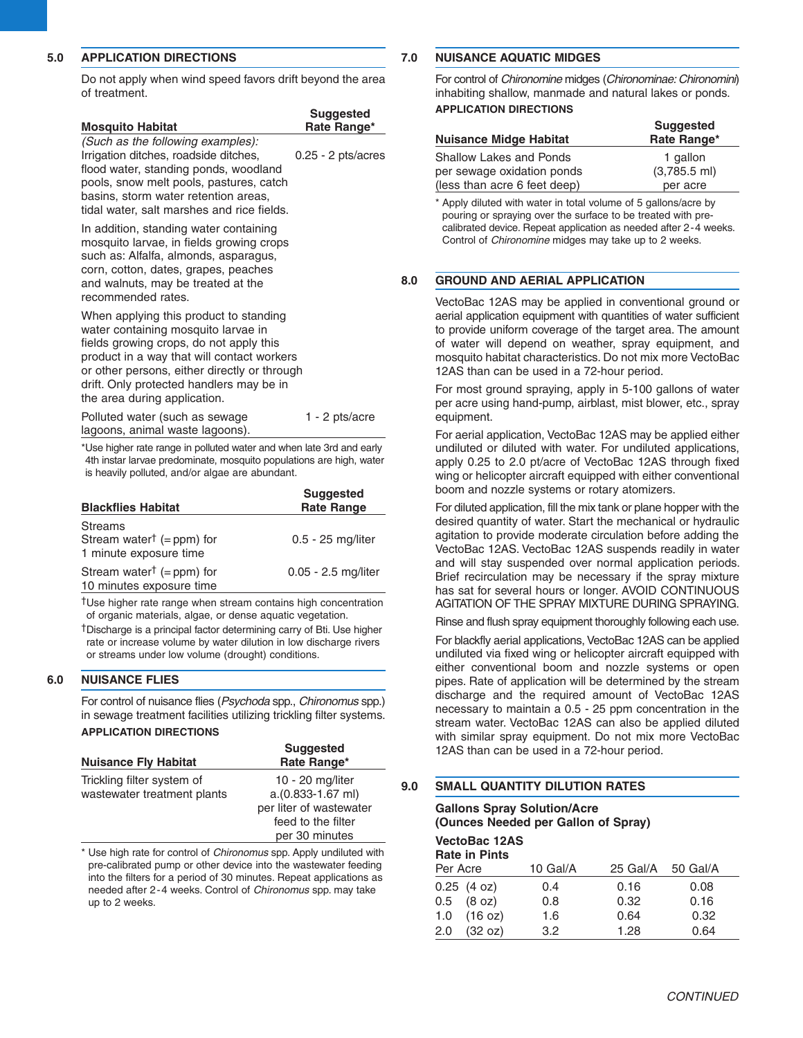#### **5.0 APPLICATION DIRECTIONS**

Do not apply when wind speed favors drift beyond the area of treatment.

| <b>Mosquito Habitat</b>                                                                                                                                                                                                                                                                            | <b>Suggested</b><br>Rate Range* |
|----------------------------------------------------------------------------------------------------------------------------------------------------------------------------------------------------------------------------------------------------------------------------------------------------|---------------------------------|
| (Such as the following examples):<br>Irrigation ditches, roadside ditches,<br>flood water, standing ponds, woodland<br>pools, snow melt pools, pastures, catch<br>basins, storm water retention areas,<br>tidal water, salt marshes and rice fields.                                               | $0.25 - 2$ pts/acres            |
| In addition, standing water containing<br>mosquito larvae, in fields growing crops<br>such as: Alfalfa, almonds, asparagus,<br>corn, cotton, dates, grapes, peaches<br>and walnuts, may be treated at the<br>recommended rates.                                                                    |                                 |
| When applying this product to standing<br>water containing mosquito larvae in<br>fields growing crops, do not apply this<br>product in a way that will contact workers<br>or other persons, either directly or through<br>drift. Only protected handlers may be in<br>the area during application. |                                 |
| Polluted water (such as sewage<br>lagoons, animal waste lagoons).                                                                                                                                                                                                                                  | $1 - 2$ pts/acre                |
| *Use higher rate range in polluted water and when late 3rd and early                                                                                                                                                                                                                               |                                 |

\*Use higher rate range in polluted water and when late 3rd and early 4th instar larvae predominate, mosquito populations are high, water is heavily polluted, and/or algae are abundant.

| <b>Blackflies Habitat</b>                                                         | <b>Suggested</b><br><b>Rate Range</b> |
|-----------------------------------------------------------------------------------|---------------------------------------|
| <b>Streams</b><br>Stream water <sup>†</sup> (= ppm) for<br>1 minute exposure time | 0.5 - 25 mg/liter                     |
| Stream water <sup>†</sup> (= ppm) for<br>10 minutes exposure time                 | 0.05 - 2.5 mg/liter                   |

†Use higher rate range when stream contains high concentration of organic materials, algae, or dense aquatic vegetation.

†Discharge is a principal factor determining carry of Bti. Use higher rate or increase volume by water dilution in low discharge rivers or streams under low volume (drought) conditions.

#### **6.0 NUISANCE FLIES**

For control of nuisance flies (*Psychoda* spp., *Chironomus* spp.) in sewage treatment facilities utilizing trickling filter systems. **APPLICATION DIRECTIONS**

| <b>Nuisance Fly Habitat</b> | <b>Suggested</b><br>Rate Range* |
|-----------------------------|---------------------------------|
| Trickling filter system of  | 10 - 20 mg/liter                |
| wastewater treatment plants | a.(0.833-1.67 ml)               |
|                             | per liter of wastewater         |
|                             | feed to the filter              |
|                             | per 30 minutes                  |
|                             |                                 |

\* Use high rate for control of *Chironomus* spp. Apply undiluted with pre-calibrated pump or other device into the wastewater feeding into the filters for a period of 30 minutes. Repeat applications as needed after 2-4 weeks. Control of *Chironomus* spp. may take up to 2 weeks.

#### **7.0 NUISANCE AQUATIC MIDGES**

For control of *Chironomine* midges (*Chironominae: Chironomini*) inhabiting shallow, manmade and natural lakes or ponds. **APPLICATION DIRECTIONS**

| <b>Nuisance Midge Habitat</b>  | <b>Suggested</b><br>Rate Range* |  |
|--------------------------------|---------------------------------|--|
| <b>Shallow Lakes and Ponds</b> | 1 gallon                        |  |
| per sewage oxidation ponds     | $(3,785.5 \text{ ml})$          |  |
| (less than acre 6 feet deep)   | per acre                        |  |

\* Apply diluted with water in total volume of 5 gallons/acre by pouring or spraying over the surface to be treated with precalibrated device. Repeat application as needed after 2-4 weeks. Control of *Chironomine* midges may take up to 2 weeks.

#### **8.0 GROUND AND AERIAL APPLICATION**

VectoBac 12AS may be applied in conventional ground or aerial application equipment with quantities of water sufficient to provide uniform coverage of the target area. The amount of water will depend on weather, spray equipment, and mosquito habitat characteristics. Do not mix more VectoBac 12AS than can be used in a 72-hour period.

For most ground spraying, apply in 5-100 gallons of water per acre using hand-pump, airblast, mist blower, etc., spray equipment.

For aerial application, VectoBac 12AS may be applied either undiluted or diluted with water. For undiluted applications, apply 0.25 to 2.0 pt/acre of VectoBac 12AS through fixed wing or helicopter aircraft equipped with either conventional boom and nozzle systems or rotary atomizers.

For diluted application, fill the mix tank or plane hopper with the desired quantity of water. Start the mechanical or hydraulic agitation to provide moderate circulation before adding the VectoBac 12AS. VectoBac 12AS suspends readily in water and will stay suspended over normal application periods. Brief recirculation may be necessary if the spray mixture has sat for several hours or longer. AVOID CONTINUOUS AGITATION OF THE SPRAY MIXTURE DURING SPRAYING.

Rinse and flush spray equipment thoroughly following each use.

For blackfly aerial applications, VectoBac 12AS can be applied undiluted via fixed wing or helicopter aircraft equipped with either conventional boom and nozzle systems or open pipes. Rate of application will be determined by the stream discharge and the required amount of VectoBac 12AS necessary to maintain a 0.5 - 25 ppm concentration in the stream water. VectoBac 12AS can also be applied diluted with similar spray equipment. Do not mix more VectoBac 12AS than can be used in a 72-hour period.

#### **9.0 SMALL QUANTITY DILUTION RATES**

**Gallons Spray Solution/Acre (Ounces Needed per Gallon of Spray)**

**VectoBac 12AS**

|          | <b>Rate in Pints</b>   |          |          |          |  |
|----------|------------------------|----------|----------|----------|--|
| Per Acre |                        | 10 Gal/A | 25 Gal/A | 50 Gal/A |  |
|          | 0.25(4 oz)             | 0.4      | 0.16     | 0.08     |  |
|          | $0.5$ $(8 \text{ oz})$ | 0.8      | 0.32     | 0.16     |  |
| 1.0      | (16 oz)                | 1.6      | 0.64     | 0.32     |  |
| 2.0      | (32 oz)                | 3.2      | 1.28     | 0.64     |  |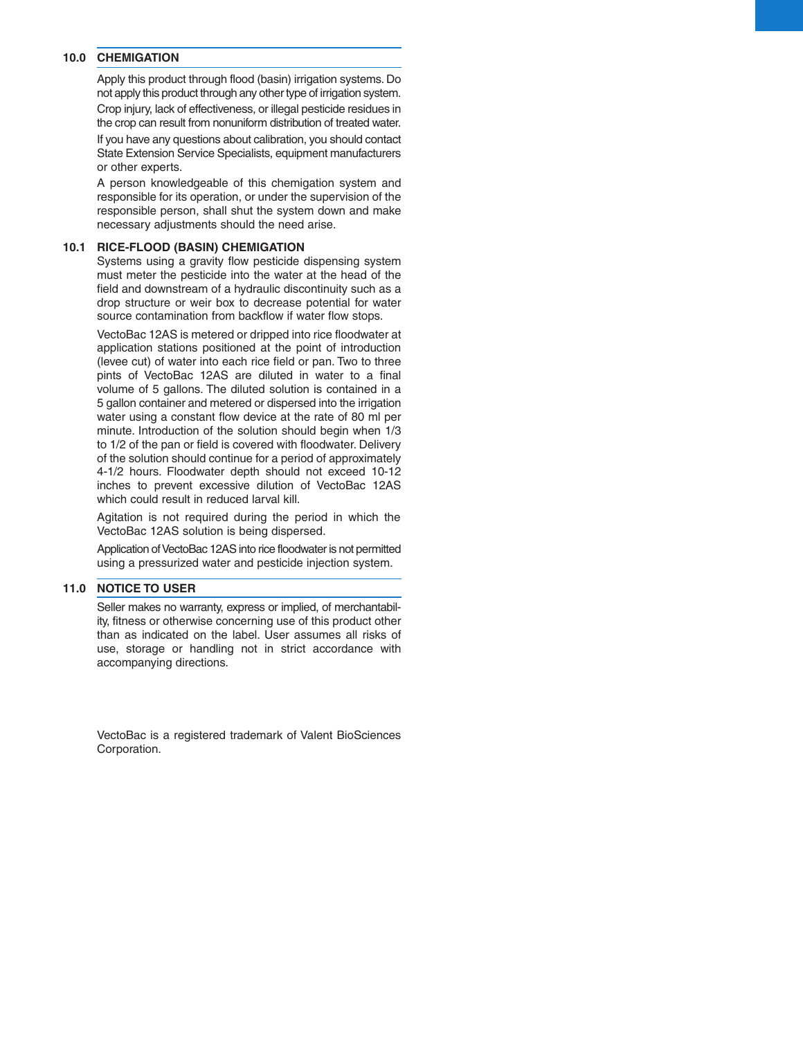#### **10.0 CHEMIGATION**

Apply this product through flood (basin) irrigation systems. Do not apply this product through any other type of irrigation system. Crop injury, lack of effectiveness, or illegal pesticide residues in the crop can result from nonuniform distribution of treated water.

If you have any questions about calibration, you should contact State Extension Service Specialists, equipment manufacturers or other experts.

A person knowledgeable of this chemigation system and responsible for its operation, or under the supervision of the responsible person, shall shut the system down and make necessary adjustments should the need arise.

#### **10.1 RICE-FLOOD (BASIN) CHEMIGATION**

Systems using a gravity flow pesticide dispensing system must meter the pesticide into the water at the head of the field and downstream of a hydraulic discontinuity such as a drop structure or weir box to decrease potential for water source contamination from backflow if water flow stops.

VectoBac 12AS is metered or dripped into rice floodwater at application stations positioned at the point of introduction (levee cut) of water into each rice field or pan. Two to three pints of VectoBac 12AS are diluted in water to a final volume of 5 gallons. The diluted solution is contained in a 5 gallon container and metered or dispersed into the irrigation water using a constant flow device at the rate of 80 ml per minute. Introduction of the solution should begin when 1/3 to 1/2 of the pan or field is covered with floodwater. Delivery of the solution should continue for a period of approximately 4-1/2 hours. Floodwater depth should not exceed 10-12 inches to prevent excessive dilution of VectoBac 12AS which could result in reduced larval kill.

Agitation is not required during the period in which the VectoBac 12AS solution is being dispersed.

Application of VectoBac 12AS into rice floodwater is not permitted using a pressurized water and pesticide injection system.

#### **11.0 NOTICE TO USER**

Seller makes no warranty, express or implied, of merchantability, fitness or otherwise concerning use of this product other than as indicated on the label. User assumes all risks of use, storage or handling not in strict accordance with accompanying directions.

VectoBac is a registered trademark of Valent BioSciences Corporation.